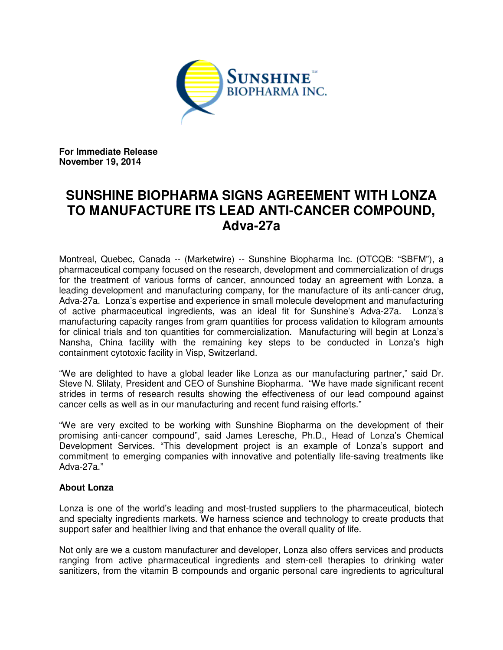

**For Immediate Release November 19, 2014** 

# **SUNSHINE BIOPHARMA SIGNS AGREEMENT WITH LONZA TO MANUFACTURE ITS LEAD ANTI-CANCER COMPOUND, Adva-27a**

Montreal, Quebec, Canada -- (Marketwire) -- Sunshine Biopharma Inc. (OTCQB: "SBFM"), a pharmaceutical company focused on the research, development and commercialization of drugs for the treatment of various forms of cancer, announced today an agreement with Lonza, a leading development and manufacturing company, for the manufacture of its anti-cancer drug, Adva-27a. Lonza's expertise and experience in small molecule development and manufacturing of active pharmaceutical ingredients, was an ideal fit for Sunshine's Adva-27a. Lonza's manufacturing capacity ranges from gram quantities for process validation to kilogram amounts for clinical trials and ton quantities for commercialization. Manufacturing will begin at Lonza's Nansha, China facility with the remaining key steps to be conducted in Lonza's high containment cytotoxic facility in Visp, Switzerland.

"We are delighted to have a global leader like Lonza as our manufacturing partner," said Dr. Steve N. Slilaty, President and CEO of Sunshine Biopharma. "We have made significant recent strides in terms of research results showing the effectiveness of our lead compound against cancer cells as well as in our manufacturing and recent fund raising efforts."

"We are very excited to be working with Sunshine Biopharma on the development of their promising anti-cancer compound", said James Leresche, Ph.D., Head of Lonza's Chemical Development Services. "This development project is an example of Lonza's support and commitment to emerging companies with innovative and potentially life-saving treatments like Adva-27a."

# **About Lonza**

Lonza is one of the world's leading and most-trusted suppliers to the pharmaceutical, biotech and specialty ingredients markets. We harness science and technology to create products that support safer and healthier living and that enhance the overall quality of life.

Not only are we a custom manufacturer and developer, Lonza also offers services and products ranging from active pharmaceutical ingredients and stem-cell therapies to drinking water sanitizers, from the vitamin B compounds and organic personal care ingredients to agricultural